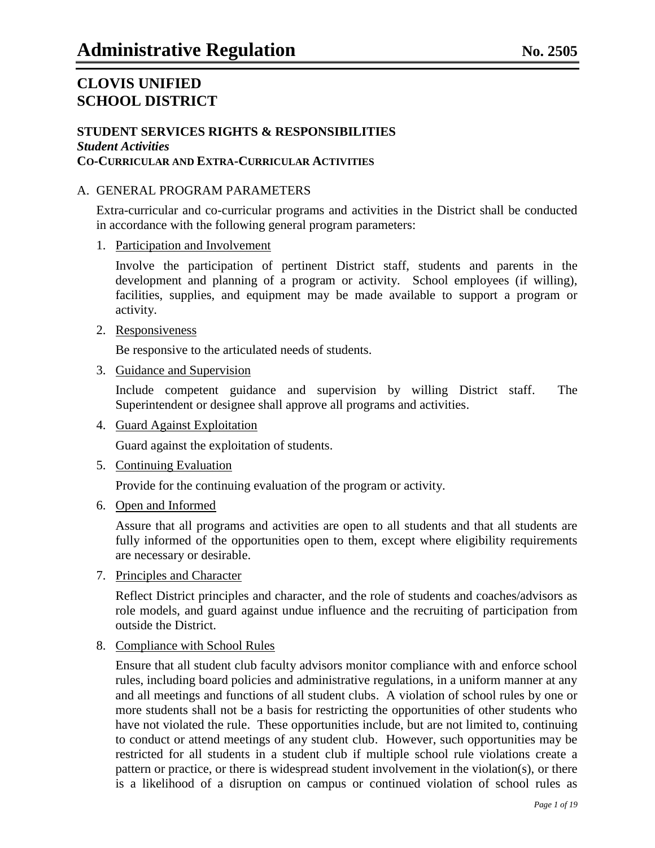### **STUDENT SERVICES RIGHTS & RESPONSIBILITIES** *Student Activities* **CO-CURRICULAR AND EXTRA-CURRICULAR ACTIVITIES**

### A. GENERAL PROGRAM PARAMETERS

Extra-curricular and co-curricular programs and activities in the District shall be conducted in accordance with the following general program parameters:

1. Participation and Involvement

Involve the participation of pertinent District staff, students and parents in the development and planning of a program or activity. School employees (if willing), facilities, supplies, and equipment may be made available to support a program or activity.

2. Responsiveness

Be responsive to the articulated needs of students.

3. Guidance and Supervision

Include competent guidance and supervision by willing District staff. The Superintendent or designee shall approve all programs and activities.

4. Guard Against Exploitation

Guard against the exploitation of students.

5. Continuing Evaluation

Provide for the continuing evaluation of the program or activity.

6. Open and Informed

Assure that all programs and activities are open to all students and that all students are fully informed of the opportunities open to them, except where eligibility requirements are necessary or desirable.

7. Principles and Character

Reflect District principles and character, and the role of students and coaches/advisors as role models, and guard against undue influence and the recruiting of participation from outside the District.

8. Compliance with School Rules

Ensure that all student club faculty advisors monitor compliance with and enforce school rules, including board policies and administrative regulations, in a uniform manner at any and all meetings and functions of all student clubs. A violation of school rules by one or more students shall not be a basis for restricting the opportunities of other students who have not violated the rule. These opportunities include, but are not limited to, continuing to conduct or attend meetings of any student club. However, such opportunities may be restricted for all students in a student club if multiple school rule violations create a pattern or practice, or there is widespread student involvement in the violation(s), or there is a likelihood of a disruption on campus or continued violation of school rules as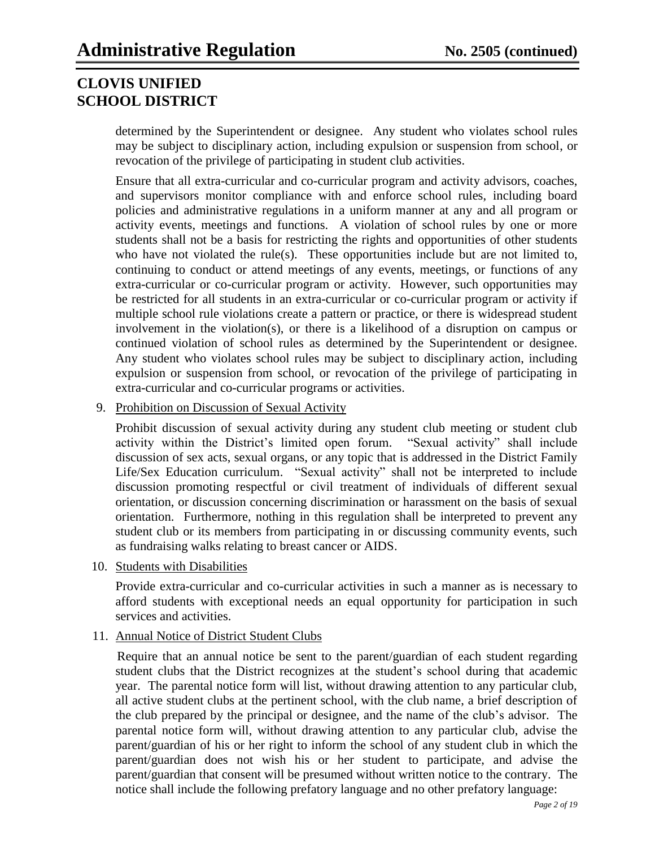determined by the Superintendent or designee. Any student who violates school rules may be subject to disciplinary action, including expulsion or suspension from school, or revocation of the privilege of participating in student club activities.

Ensure that all extra-curricular and co-curricular program and activity advisors, coaches, and supervisors monitor compliance with and enforce school rules, including board policies and administrative regulations in a uniform manner at any and all program or activity events, meetings and functions. A violation of school rules by one or more students shall not be a basis for restricting the rights and opportunities of other students who have not violated the rule(s). These opportunities include but are not limited to, continuing to conduct or attend meetings of any events, meetings, or functions of any extra-curricular or co-curricular program or activity. However, such opportunities may be restricted for all students in an extra-curricular or co-curricular program or activity if multiple school rule violations create a pattern or practice, or there is widespread student involvement in the violation(s), or there is a likelihood of a disruption on campus or continued violation of school rules as determined by the Superintendent or designee. Any student who violates school rules may be subject to disciplinary action, including expulsion or suspension from school, or revocation of the privilege of participating in extra-curricular and co-curricular programs or activities.

9. Prohibition on Discussion of Sexual Activity

Prohibit discussion of sexual activity during any student club meeting or student club activity within the District's limited open forum. "Sexual activity" shall include discussion of sex acts, sexual organs, or any topic that is addressed in the District Family Life/Sex Education curriculum. "Sexual activity" shall not be interpreted to include discussion promoting respectful or civil treatment of individuals of different sexual orientation, or discussion concerning discrimination or harassment on the basis of sexual orientation. Furthermore, nothing in this regulation shall be interpreted to prevent any student club or its members from participating in or discussing community events, such as fundraising walks relating to breast cancer or AIDS.

10. Students with Disabilities

Provide extra-curricular and co-curricular activities in such a manner as is necessary to afford students with exceptional needs an equal opportunity for participation in such services and activities.

### 11. Annual Notice of District Student Clubs

Require that an annual notice be sent to the parent/guardian of each student regarding student clubs that the District recognizes at the student's school during that academic year. The parental notice form will list, without drawing attention to any particular club, all active student clubs at the pertinent school, with the club name, a brief description of the club prepared by the principal or designee, and the name of the club's advisor. The parental notice form will, without drawing attention to any particular club, advise the parent/guardian of his or her right to inform the school of any student club in which the parent/guardian does not wish his or her student to participate, and advise the parent/guardian that consent will be presumed without written notice to the contrary. The notice shall include the following prefatory language and no other prefatory language: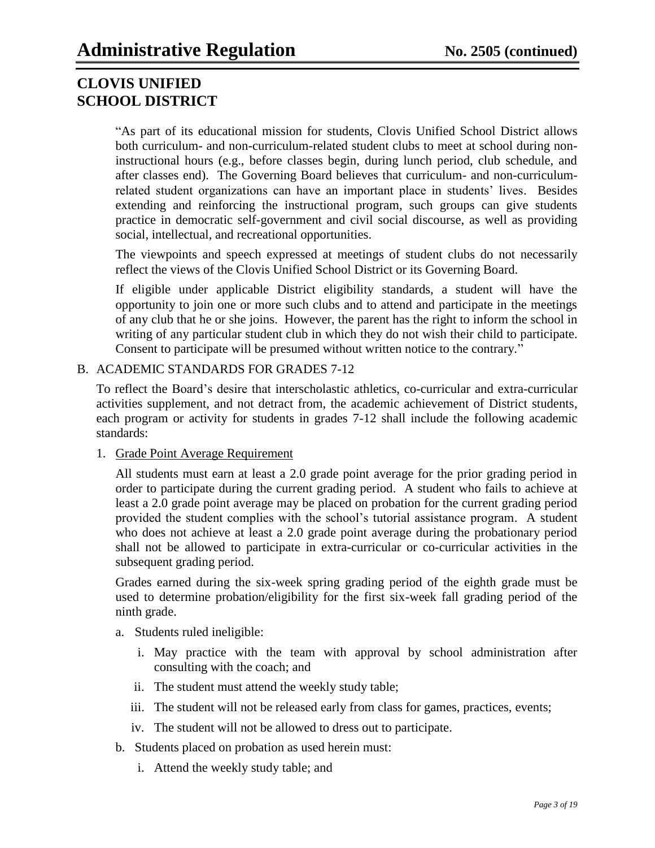"As part of its educational mission for students, Clovis Unified School District allows both curriculum- and non-curriculum-related student clubs to meet at school during noninstructional hours (e.g., before classes begin, during lunch period, club schedule, and after classes end). The Governing Board believes that curriculum- and non-curriculumrelated student organizations can have an important place in students' lives. Besides extending and reinforcing the instructional program, such groups can give students practice in democratic self-government and civil social discourse, as well as providing social, intellectual, and recreational opportunities.

The viewpoints and speech expressed at meetings of student clubs do not necessarily reflect the views of the Clovis Unified School District or its Governing Board.

If eligible under applicable District eligibility standards, a student will have the opportunity to join one or more such clubs and to attend and participate in the meetings of any club that he or she joins. However, the parent has the right to inform the school in writing of any particular student club in which they do not wish their child to participate. Consent to participate will be presumed without written notice to the contrary."

### B. ACADEMIC STANDARDS FOR GRADES 7-12

To reflect the Board's desire that interscholastic athletics, co-curricular and extra-curricular activities supplement, and not detract from, the academic achievement of District students, each program or activity for students in grades 7-12 shall include the following academic standards:

### 1. Grade Point Average Requirement

All students must earn at least a 2.0 grade point average for the prior grading period in order to participate during the current grading period. A student who fails to achieve at least a 2.0 grade point average may be placed on probation for the current grading period provided the student complies with the school's tutorial assistance program. A student who does not achieve at least a 2.0 grade point average during the probationary period shall not be allowed to participate in extra-curricular or co-curricular activities in the subsequent grading period.

Grades earned during the six-week spring grading period of the eighth grade must be used to determine probation/eligibility for the first six-week fall grading period of the ninth grade.

- a. Students ruled ineligible:
	- i. May practice with the team with approval by school administration after consulting with the coach; and
	- ii. The student must attend the weekly study table;
	- iii. The student will not be released early from class for games, practices, events;
	- iv. The student will not be allowed to dress out to participate.
- b. Students placed on probation as used herein must:
	- i. Attend the weekly study table; and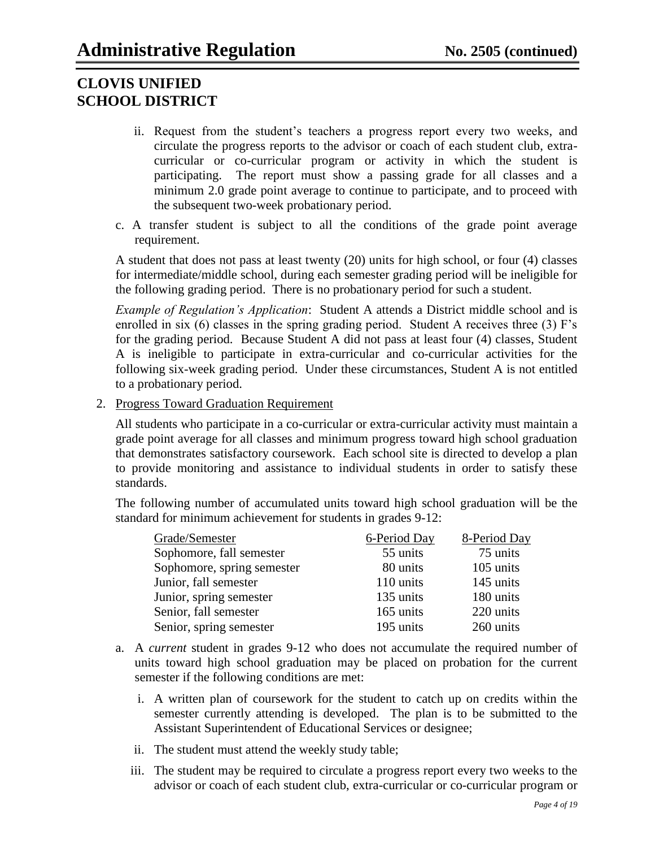- ii. Request from the student's teachers a progress report every two weeks, and circulate the progress reports to the advisor or coach of each student club, extracurricular or co-curricular program or activity in which the student is participating. The report must show a passing grade for all classes and a minimum 2.0 grade point average to continue to participate, and to proceed with the subsequent two-week probationary period.
- c. A transfer student is subject to all the conditions of the grade point average requirement.

A student that does not pass at least twenty (20) units for high school, or four (4) classes for intermediate/middle school, during each semester grading period will be ineligible for the following grading period. There is no probationary period for such a student.

*Example of Regulation's Application*: Student A attends a District middle school and is enrolled in six (6) classes in the spring grading period. Student A receives three (3) F's for the grading period. Because Student A did not pass at least four (4) classes, Student A is ineligible to participate in extra-curricular and co-curricular activities for the following six-week grading period. Under these circumstances, Student A is not entitled to a probationary period.

2. Progress Toward Graduation Requirement

All students who participate in a co-curricular or extra-curricular activity must maintain a grade point average for all classes and minimum progress toward high school graduation that demonstrates satisfactory coursework. Each school site is directed to develop a plan to provide monitoring and assistance to individual students in order to satisfy these standards.

The following number of accumulated units toward high school graduation will be the standard for minimum achievement for students in grades 9-12:

| Grade/Semester             | 6-Period Day | 8-Period Day |
|----------------------------|--------------|--------------|
| Sophomore, fall semester   | 55 units     | 75 units     |
| Sophomore, spring semester | 80 units     | 105 units    |
| Junior, fall semester      | 110 units    | 145 units    |
| Junior, spring semester    | 135 units    | 180 units    |
| Senior, fall semester      | 165 units    | 220 units    |
| Senior, spring semester    | 195 units    | 260 units    |

- a. A *current* student in grades 9-12 who does not accumulate the required number of units toward high school graduation may be placed on probation for the current semester if the following conditions are met:
	- i. A written plan of coursework for the student to catch up on credits within the semester currently attending is developed. The plan is to be submitted to the Assistant Superintendent of Educational Services or designee;
	- ii. The student must attend the weekly study table;
	- iii. The student may be required to circulate a progress report every two weeks to the advisor or coach of each student club, extra-curricular or co-curricular program or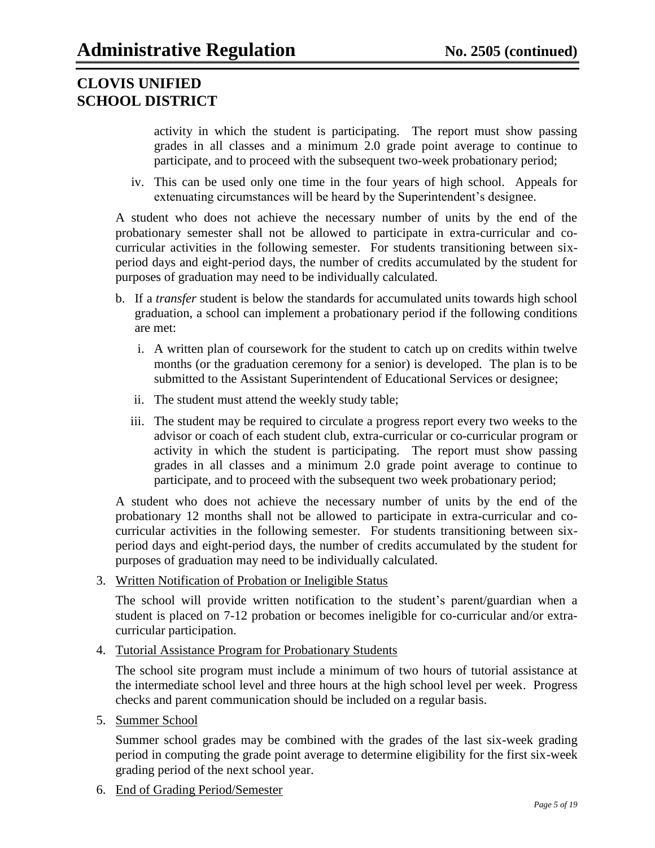activity in which the student is participating. The report must show passing grades in all classes and a minimum 2.0 grade point average to continue to participate, and to proceed with the subsequent two-week probationary period;

iv. This can be used only one time in the four years of high school. Appeals for extenuating circumstances will be heard by the Superintendent's designee.

A student who does not achieve the necessary number of units by the end of the probationary semester shall not be allowed to participate in extra-curricular and cocurricular activities in the following semester. For students transitioning between sixperiod days and eight-period days, the number of credits accumulated by the student for purposes of graduation may need to be individually calculated.

- b. If a *transfer* student is below the standards for accumulated units towards high school graduation, a school can implement a probationary period if the following conditions are met:
	- i. A written plan of coursework for the student to catch up on credits within twelve months (or the graduation ceremony for a senior) is developed. The plan is to be submitted to the Assistant Superintendent of Educational Services or designee;
	- ii. The student must attend the weekly study table;
	- iii. The student may be required to circulate a progress report every two weeks to the advisor or coach of each student club, extra-curricular or co-curricular program or activity in which the student is participating. The report must show passing grades in all classes and a minimum 2.0 grade point average to continue to participate, and to proceed with the subsequent two week probationary period;

A student who does not achieve the necessary number of units by the end of the probationary 12 months shall not be allowed to participate in extra-curricular and cocurricular activities in the following semester. For students transitioning between sixperiod days and eight-period days, the number of credits accumulated by the student for purposes of graduation may need to be individually calculated.

3. Written Notification of Probation or Ineligible Status

The school will provide written notification to the student's parent/guardian when a student is placed on 7-12 probation or becomes ineligible for co-curricular and/or extracurricular participation.

4. Tutorial Assistance Program for Probationary Students

The school site program must include a minimum of two hours of tutorial assistance at the intermediate school level and three hours at the high school level per week. Progress checks and parent communication should be included on a regular basis.

5. Summer School

Summer school grades may be combined with the grades of the last six-week grading period in computing the grade point average to determine eligibility for the first six-week grading period of the next school year.

6. End of Grading Period/Semester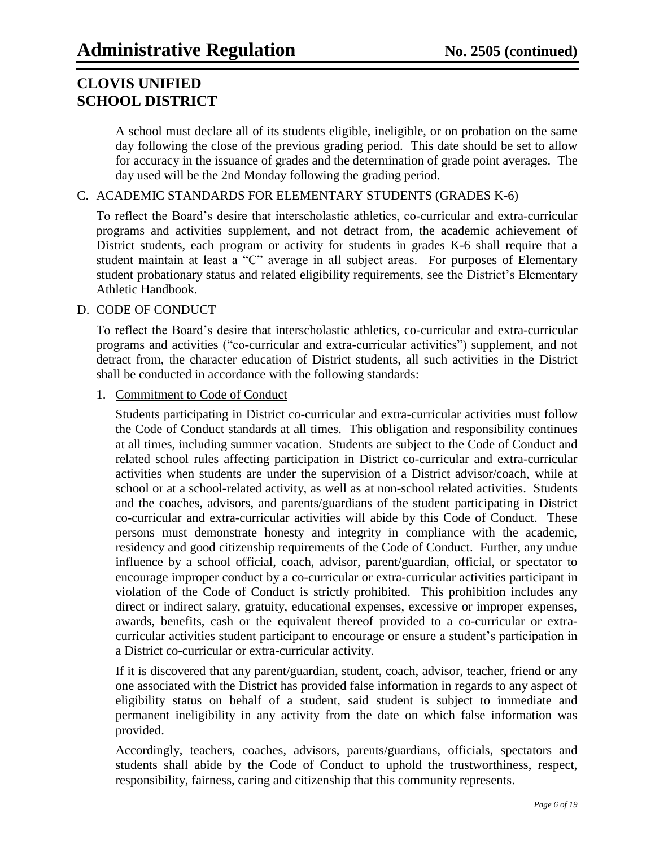A school must declare all of its students eligible, ineligible, or on probation on the same day following the close of the previous grading period. This date should be set to allow for accuracy in the issuance of grades and the determination of grade point averages. The day used will be the 2nd Monday following the grading period.

### C. ACADEMIC STANDARDS FOR ELEMENTARY STUDENTS (GRADES K-6)

To reflect the Board's desire that interscholastic athletics, co-curricular and extra-curricular programs and activities supplement, and not detract from, the academic achievement of District students, each program or activity for students in grades K-6 shall require that a student maintain at least a "C" average in all subject areas. For purposes of Elementary student probationary status and related eligibility requirements, see the District's Elementary Athletic Handbook.

### D. CODE OF CONDUCT

To reflect the Board's desire that interscholastic athletics, co-curricular and extra-curricular programs and activities ("co-curricular and extra-curricular activities") supplement, and not detract from, the character education of District students, all such activities in the District shall be conducted in accordance with the following standards:

### 1. Commitment to Code of Conduct

Students participating in District co-curricular and extra-curricular activities must follow the Code of Conduct standards at all times. This obligation and responsibility continues at all times, including summer vacation. Students are subject to the Code of Conduct and related school rules affecting participation in District co-curricular and extra-curricular activities when students are under the supervision of a District advisor/coach, while at school or at a school-related activity, as well as at non-school related activities. Students and the coaches, advisors, and parents/guardians of the student participating in District co-curricular and extra-curricular activities will abide by this Code of Conduct. These persons must demonstrate honesty and integrity in compliance with the academic, residency and good citizenship requirements of the Code of Conduct. Further, any undue influence by a school official, coach, advisor, parent/guardian, official, or spectator to encourage improper conduct by a co-curricular or extra-curricular activities participant in violation of the Code of Conduct is strictly prohibited. This prohibition includes any direct or indirect salary, gratuity, educational expenses, excessive or improper expenses, awards, benefits, cash or the equivalent thereof provided to a co-curricular or extracurricular activities student participant to encourage or ensure a student's participation in a District co-curricular or extra-curricular activity.

If it is discovered that any parent/guardian, student, coach, advisor, teacher, friend or any one associated with the District has provided false information in regards to any aspect of eligibility status on behalf of a student, said student is subject to immediate and permanent ineligibility in any activity from the date on which false information was provided.

Accordingly, teachers, coaches, advisors, parents/guardians, officials, spectators and students shall abide by the Code of Conduct to uphold the trustworthiness, respect, responsibility, fairness, caring and citizenship that this community represents.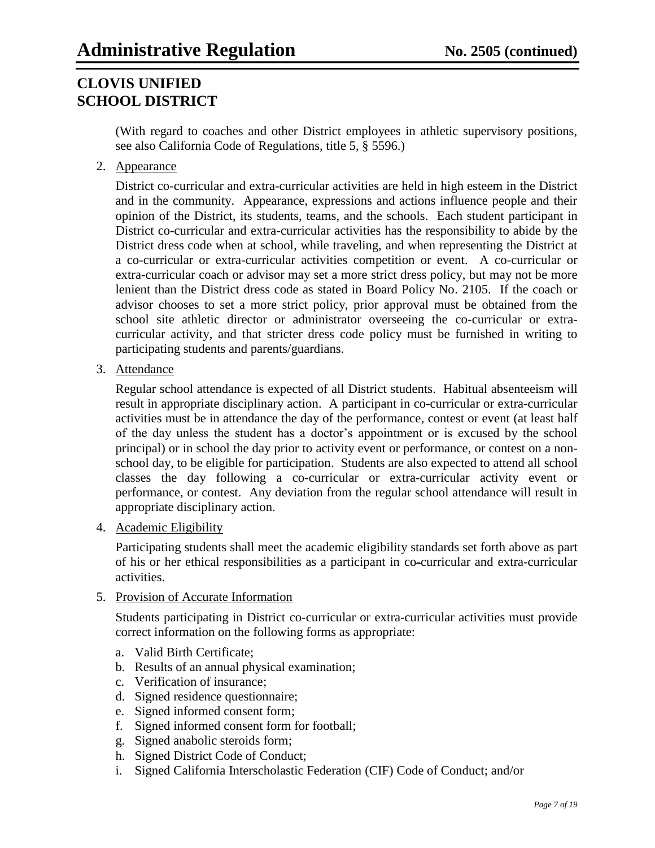(With regard to coaches and other District employees in athletic supervisory positions, see also California Code of Regulations, title 5, § 5596.)

2. Appearance

District co-curricular and extra-curricular activities are held in high esteem in the District and in the community. Appearance, expressions and actions influence people and their opinion of the District, its students, teams, and the schools. Each student participant in District co-curricular and extra-curricular activities has the responsibility to abide by the District dress code when at school, while traveling, and when representing the District at a co-curricular or extra-curricular activities competition or event. A co-curricular or extra-curricular coach or advisor may set a more strict dress policy, but may not be more lenient than the District dress code as stated in Board Policy No. 2105. If the coach or advisor chooses to set a more strict policy, prior approval must be obtained from the school site athletic director or administrator overseeing the co-curricular or extracurricular activity, and that stricter dress code policy must be furnished in writing to participating students and parents/guardians.

3. Attendance

Regular school attendance is expected of all District students. Habitual absenteeism will result in appropriate disciplinary action. A participant in co-curricular or extra-curricular activities must be in attendance the day of the performance, contest or event (at least half of the day unless the student has a doctor's appointment or is excused by the school principal) or in school the day prior to activity event or performance, or contest on a nonschool day, to be eligible for participation. Students are also expected to attend all school classes the day following a co-curricular or extra-curricular activity event or performance, or contest. Any deviation from the regular school attendance will result in appropriate disciplinary action.

4. Academic Eligibility

Participating students shall meet the academic eligibility standards set forth above as part of his or her ethical responsibilities as a participant in co-curricular and extra-curricular activities.

5. Provision of Accurate Information

Students participating in District co-curricular or extra-curricular activities must provide correct information on the following forms as appropriate:

- a. Valid Birth Certificate;
- b. Results of an annual physical examination;
- c. Verification of insurance;
- d. Signed residence questionnaire;
- e. Signed informed consent form;
- f. Signed informed consent form for football;
- g. Signed anabolic steroids form;
- h. Signed District Code of Conduct;
- i. Signed California Interscholastic Federation (CIF) Code of Conduct; and/or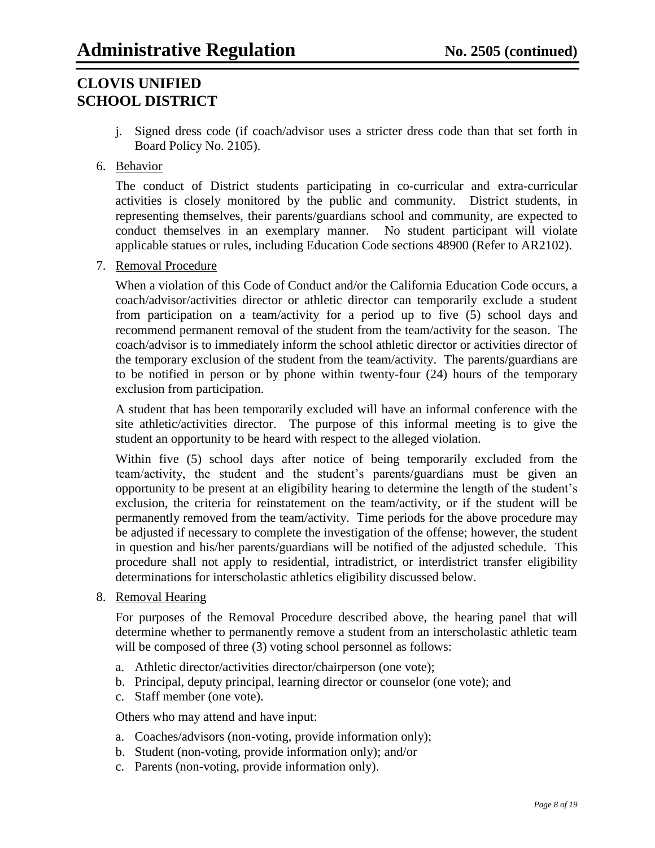j. Signed dress code (if coach/advisor uses a stricter dress code than that set forth in Board Policy No. 2105).

### 6. Behavior

The conduct of District students participating in co-curricular and extra-curricular activities is closely monitored by the public and community. District students, in representing themselves, their parents/guardians school and community, are expected to conduct themselves in an exemplary manner. No student participant will violate applicable statues or rules, including Education Code sections 48900 (Refer to AR2102).

7. Removal Procedure

When a violation of this Code of Conduct and/or the California Education Code occurs, a coach/advisor/activities director or athletic director can temporarily exclude a student from participation on a team/activity for a period up to five (5) school days and recommend permanent removal of the student from the team/activity for the season. The coach/advisor is to immediately inform the school athletic director or activities director of the temporary exclusion of the student from the team/activity. The parents/guardians are to be notified in person or by phone within twenty-four (24) hours of the temporary exclusion from participation.

A student that has been temporarily excluded will have an informal conference with the site athletic/activities director. The purpose of this informal meeting is to give the student an opportunity to be heard with respect to the alleged violation.

Within five (5) school days after notice of being temporarily excluded from the team/activity, the student and the student's parents/guardians must be given an opportunity to be present at an eligibility hearing to determine the length of the student's exclusion, the criteria for reinstatement on the team/activity, or if the student will be permanently removed from the team/activity. Time periods for the above procedure may be adjusted if necessary to complete the investigation of the offense; however, the student in question and his/her parents/guardians will be notified of the adjusted schedule. This procedure shall not apply to residential, intradistrict, or interdistrict transfer eligibility determinations for interscholastic athletics eligibility discussed below.

8. Removal Hearing

For purposes of the Removal Procedure described above, the hearing panel that will determine whether to permanently remove a student from an interscholastic athletic team will be composed of three (3) voting school personnel as follows:

- a. Athletic director/activities director/chairperson (one vote);
- b. Principal, deputy principal, learning director or counselor (one vote); and
- c. Staff member (one vote).

Others who may attend and have input:

- a. Coaches/advisors (non-voting, provide information only);
- b. Student (non-voting, provide information only); and/or
- c. Parents (non-voting, provide information only).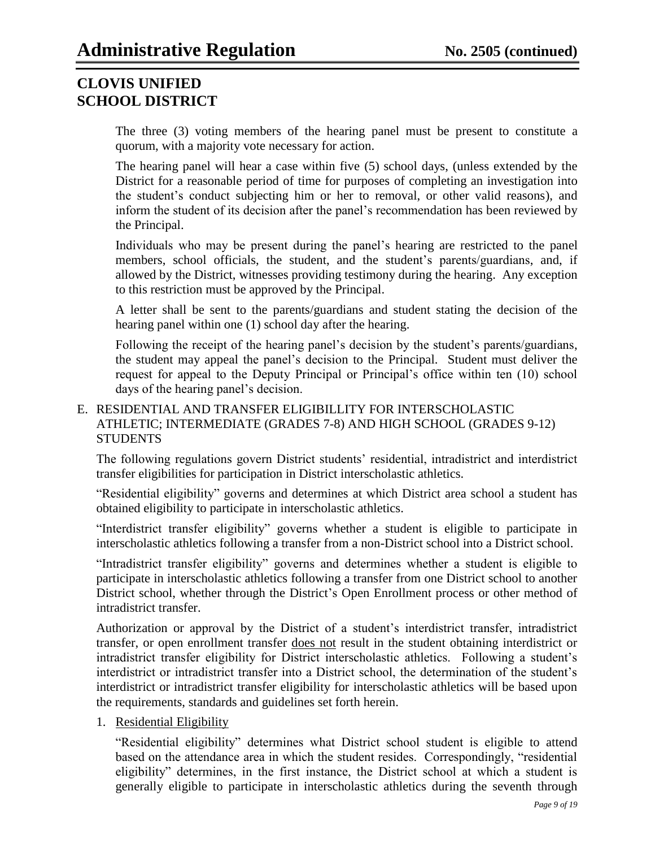The three (3) voting members of the hearing panel must be present to constitute a quorum, with a majority vote necessary for action.

The hearing panel will hear a case within five (5) school days, (unless extended by the District for a reasonable period of time for purposes of completing an investigation into the student's conduct subjecting him or her to removal, or other valid reasons), and inform the student of its decision after the panel's recommendation has been reviewed by the Principal.

Individuals who may be present during the panel's hearing are restricted to the panel members, school officials, the student, and the student's parents/guardians, and, if allowed by the District, witnesses providing testimony during the hearing. Any exception to this restriction must be approved by the Principal.

A letter shall be sent to the parents/guardians and student stating the decision of the hearing panel within one (1) school day after the hearing.

Following the receipt of the hearing panel's decision by the student's parents/guardians, the student may appeal the panel's decision to the Principal. Student must deliver the request for appeal to the Deputy Principal or Principal's office within ten (10) school days of the hearing panel's decision.

### E. RESIDENTIAL AND TRANSFER ELIGIBILLITY FOR INTERSCHOLASTIC ATHLETIC; INTERMEDIATE (GRADES 7-8) AND HIGH SCHOOL (GRADES 9-12) **STUDENTS**

The following regulations govern District students' residential, intradistrict and interdistrict transfer eligibilities for participation in District interscholastic athletics.

"Residential eligibility" governs and determines at which District area school a student has obtained eligibility to participate in interscholastic athletics.

"Interdistrict transfer eligibility" governs whether a student is eligible to participate in interscholastic athletics following a transfer from a non-District school into a District school.

"Intradistrict transfer eligibility" governs and determines whether a student is eligible to participate in interscholastic athletics following a transfer from one District school to another District school, whether through the District's Open Enrollment process or other method of intradistrict transfer.

Authorization or approval by the District of a student's interdistrict transfer, intradistrict transfer, or open enrollment transfer does not result in the student obtaining interdistrict or intradistrict transfer eligibility for District interscholastic athletics. Following a student's interdistrict or intradistrict transfer into a District school, the determination of the student's interdistrict or intradistrict transfer eligibility for interscholastic athletics will be based upon the requirements, standards and guidelines set forth herein.

### 1. Residential Eligibility

"Residential eligibility" determines what District school student is eligible to attend based on the attendance area in which the student resides. Correspondingly, "residential eligibility" determines, in the first instance, the District school at which a student is generally eligible to participate in interscholastic athletics during the seventh through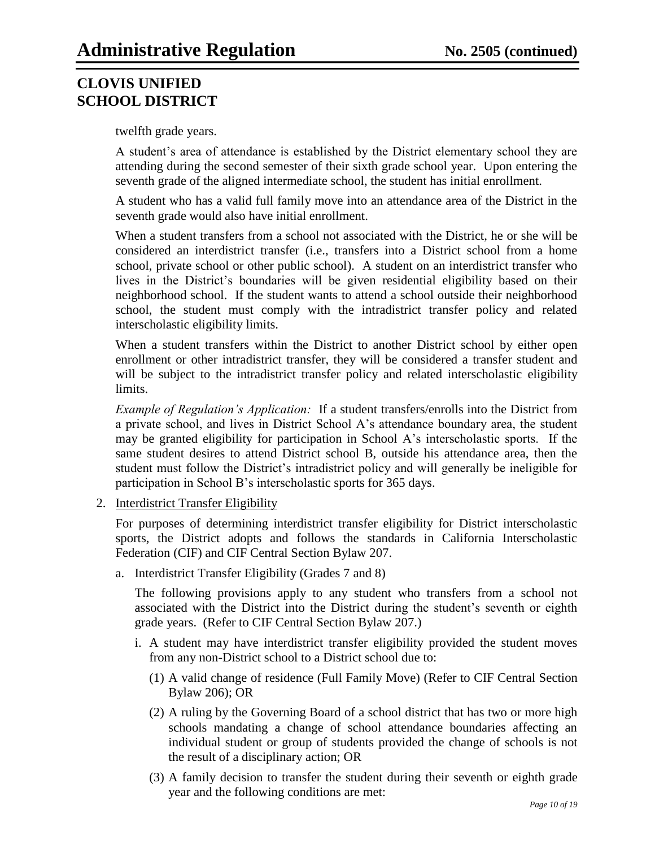twelfth grade years.

A student's area of attendance is established by the District elementary school they are attending during the second semester of their sixth grade school year. Upon entering the seventh grade of the aligned intermediate school, the student has initial enrollment.

A student who has a valid full family move into an attendance area of the District in the seventh grade would also have initial enrollment.

When a student transfers from a school not associated with the District, he or she will be considered an interdistrict transfer (i.e., transfers into a District school from a home school, private school or other public school). A student on an interdistrict transfer who lives in the District's boundaries will be given residential eligibility based on their neighborhood school. If the student wants to attend a school outside their neighborhood school, the student must comply with the intradistrict transfer policy and related interscholastic eligibility limits.

When a student transfers within the District to another District school by either open enrollment or other intradistrict transfer, they will be considered a transfer student and will be subject to the intradistrict transfer policy and related interscholastic eligibility limits.

*Example of Regulation's Application:* If a student transfers/enrolls into the District from a private school, and lives in District School A's attendance boundary area, the student may be granted eligibility for participation in School A's interscholastic sports. If the same student desires to attend District school B, outside his attendance area, then the student must follow the District's intradistrict policy and will generally be ineligible for participation in School B's interscholastic sports for 365 days.

2. Interdistrict Transfer Eligibility

For purposes of determining interdistrict transfer eligibility for District interscholastic sports, the District adopts and follows the standards in California Interscholastic Federation (CIF) and CIF Central Section Bylaw 207.

a. Interdistrict Transfer Eligibility (Grades 7 and 8)

The following provisions apply to any student who transfers from a school not associated with the District into the District during the student's seventh or eighth grade years. (Refer to CIF Central Section Bylaw 207.)

- i. A student may have interdistrict transfer eligibility provided the student moves from any non-District school to a District school due to:
	- (1) A valid change of residence (Full Family Move) (Refer to CIF Central Section Bylaw 206); OR
	- (2) A ruling by the Governing Board of a school district that has two or more high schools mandating a change of school attendance boundaries affecting an individual student or group of students provided the change of schools is not the result of a disciplinary action; OR
	- (3) A family decision to transfer the student during their seventh or eighth grade year and the following conditions are met: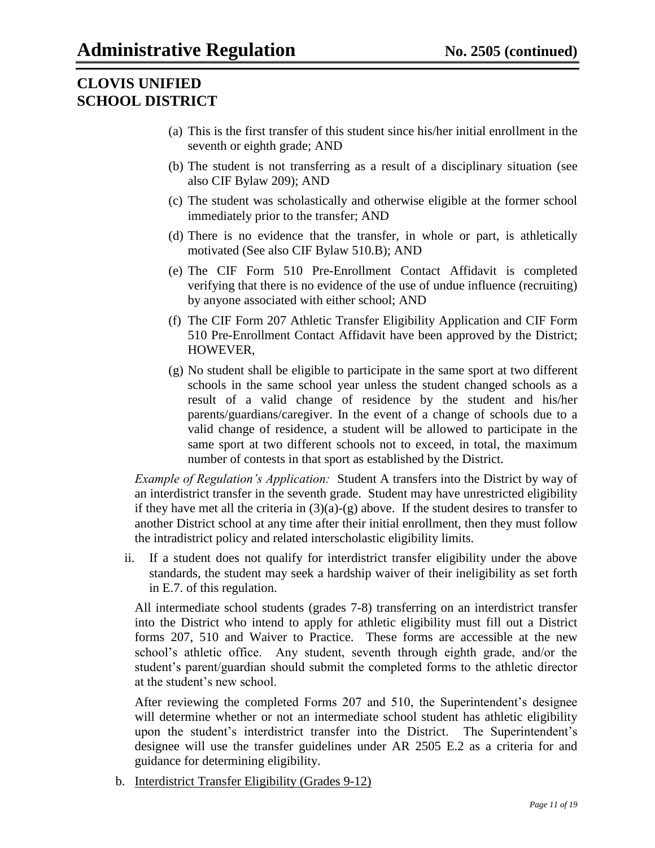- (a) This is the first transfer of this student since his/her initial enrollment in the seventh or eighth grade; AND
- (b) The student is not transferring as a result of a disciplinary situation (see also CIF Bylaw 209); AND
- (c) The student was scholastically and otherwise eligible at the former school immediately prior to the transfer; AND
- (d) There is no evidence that the transfer, in whole or part, is athletically motivated (See also CIF Bylaw 510.B); AND
- (e) The CIF Form 510 Pre-Enrollment Contact Affidavit is completed verifying that there is no evidence of the use of undue influence (recruiting) by anyone associated with either school; AND
- (f) The CIF Form 207 Athletic Transfer Eligibility Application and CIF Form 510 Pre-Enrollment Contact Affidavit have been approved by the District; HOWEVER,
- (g) No student shall be eligible to participate in the same sport at two different schools in the same school year unless the student changed schools as a result of a valid change of residence by the student and his/her parents/guardians/caregiver. In the event of a change of schools due to a valid change of residence, a student will be allowed to participate in the same sport at two different schools not to exceed, in total, the maximum number of contests in that sport as established by the District.

*Example of Regulation's Application:* Student A transfers into the District by way of an interdistrict transfer in the seventh grade. Student may have unrestricted eligibility if they have met all the criteria in  $(3)(a)-(g)$  above. If the student desires to transfer to another District school at any time after their initial enrollment, then they must follow the intradistrict policy and related interscholastic eligibility limits.

ii. If a student does not qualify for interdistrict transfer eligibility under the above standards, the student may seek a hardship waiver of their ineligibility as set forth in E.7. of this regulation.

All intermediate school students (grades 7-8) transferring on an interdistrict transfer into the District who intend to apply for athletic eligibility must fill out a District forms 207, 510 and Waiver to Practice. These forms are accessible at the new school's athletic office. Any student, seventh through eighth grade, and/or the student's parent/guardian should submit the completed forms to the athletic director at the student's new school.

After reviewing the completed Forms 207 and 510, the Superintendent's designee will determine whether or not an intermediate school student has athletic eligibility upon the student's interdistrict transfer into the District. The Superintendent's designee will use the transfer guidelines under AR 2505 E.2 as a criteria for and guidance for determining eligibility.

b. Interdistrict Transfer Eligibility (Grades 9-12)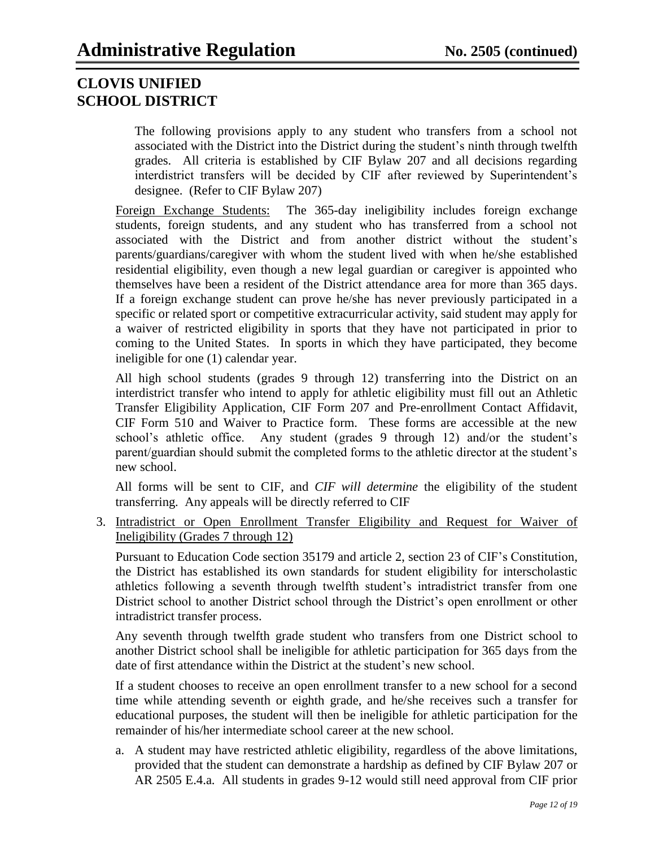The following provisions apply to any student who transfers from a school not associated with the District into the District during the student's ninth through twelfth grades. All criteria is established by CIF Bylaw 207 and all decisions regarding interdistrict transfers will be decided by CIF after reviewed by Superintendent's designee. (Refer to CIF Bylaw 207)

Foreign Exchange Students: The 365-day ineligibility includes foreign exchange students, foreign students, and any student who has transferred from a school not associated with the District and from another district without the student's parents/guardians/caregiver with whom the student lived with when he/she established residential eligibility, even though a new legal guardian or caregiver is appointed who themselves have been a resident of the District attendance area for more than 365 days. If a foreign exchange student can prove he/she has never previously participated in a specific or related sport or competitive extracurricular activity, said student may apply for a waiver of restricted eligibility in sports that they have not participated in prior to coming to the United States. In sports in which they have participated, they become ineligible for one (1) calendar year.

All high school students (grades 9 through 12) transferring into the District on an interdistrict transfer who intend to apply for athletic eligibility must fill out an Athletic Transfer Eligibility Application, CIF Form 207 and Pre-enrollment Contact Affidavit, CIF Form 510 and Waiver to Practice form. These forms are accessible at the new school's athletic office. Any student (grades 9 through 12) and/or the student's parent/guardian should submit the completed forms to the athletic director at the student's new school.

All forms will be sent to CIF, and *CIF will determine* the eligibility of the student transferring. Any appeals will be directly referred to CIF

3. Intradistrict or Open Enrollment Transfer Eligibility and Request for Waiver of Ineligibility (Grades 7 through 12)

Pursuant to Education Code section 35179 and article 2, section 23 of CIF's Constitution, the District has established its own standards for student eligibility for interscholastic athletics following a seventh through twelfth student's intradistrict transfer from one District school to another District school through the District's open enrollment or other intradistrict transfer process.

Any seventh through twelfth grade student who transfers from one District school to another District school shall be ineligible for athletic participation for 365 days from the date of first attendance within the District at the student's new school.

If a student chooses to receive an open enrollment transfer to a new school for a second time while attending seventh or eighth grade, and he/she receives such a transfer for educational purposes, the student will then be ineligible for athletic participation for the remainder of his/her intermediate school career at the new school.

a. A student may have restricted athletic eligibility, regardless of the above limitations, provided that the student can demonstrate a hardship as defined by CIF Bylaw 207 or AR 2505 E.4.a. All students in grades 9-12 would still need approval from CIF prior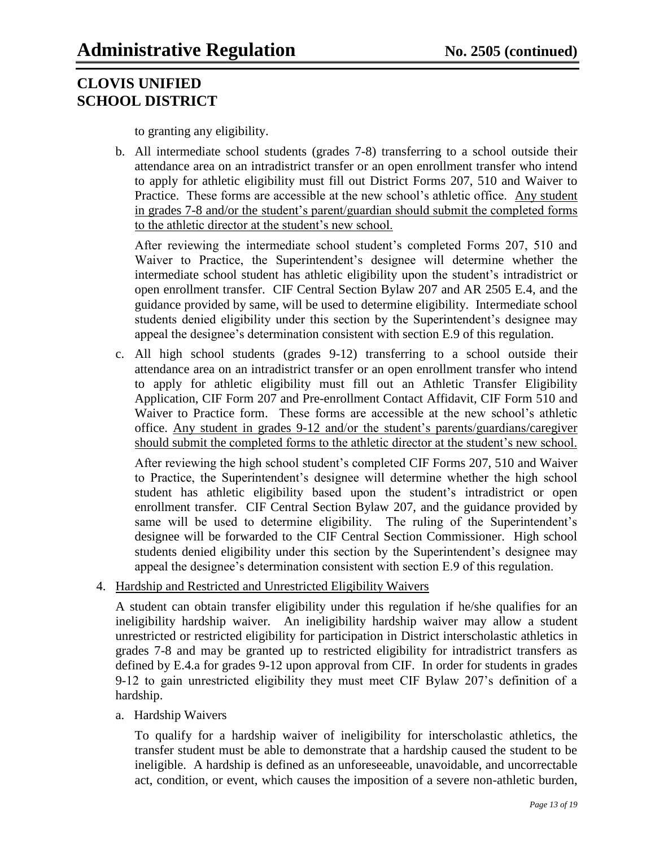to granting any eligibility.

b. All intermediate school students (grades 7-8) transferring to a school outside their attendance area on an intradistrict transfer or an open enrollment transfer who intend to apply for athletic eligibility must fill out District Forms 207, 510 and Waiver to Practice. These forms are accessible at the new school's athletic office. Any student in grades 7-8 and/or the student's parent/guardian should submit the completed forms to the athletic director at the student's new school.

After reviewing the intermediate school student's completed Forms 207, 510 and Waiver to Practice, the Superintendent's designee will determine whether the intermediate school student has athletic eligibility upon the student's intradistrict or open enrollment transfer. CIF Central Section Bylaw 207 and AR 2505 E.4, and the guidance provided by same, will be used to determine eligibility. Intermediate school students denied eligibility under this section by the Superintendent's designee may appeal the designee's determination consistent with section E.9 of this regulation.

c. All high school students (grades 9-12) transferring to a school outside their attendance area on an intradistrict transfer or an open enrollment transfer who intend to apply for athletic eligibility must fill out an Athletic Transfer Eligibility Application, CIF Form 207 and Pre-enrollment Contact Affidavit, CIF Form 510 and Waiver to Practice form. These forms are accessible at the new school's athletic office. Any student in grades 9-12 and/or the student's parents/guardians/caregiver should submit the completed forms to the athletic director at the student's new school.

After reviewing the high school student's completed CIF Forms 207, 510 and Waiver to Practice, the Superintendent's designee will determine whether the high school student has athletic eligibility based upon the student's intradistrict or open enrollment transfer. CIF Central Section Bylaw 207, and the guidance provided by same will be used to determine eligibility. The ruling of the Superintendent's designee will be forwarded to the CIF Central Section Commissioner. High school students denied eligibility under this section by the Superintendent's designee may appeal the designee's determination consistent with section E.9 of this regulation.

### 4. Hardship and Restricted and Unrestricted Eligibility Waivers

A student can obtain transfer eligibility under this regulation if he/she qualifies for an ineligibility hardship waiver. An ineligibility hardship waiver may allow a student unrestricted or restricted eligibility for participation in District interscholastic athletics in grades 7-8 and may be granted up to restricted eligibility for intradistrict transfers as defined by E.4.a for grades 9-12 upon approval from CIF. In order for students in grades 9-12 to gain unrestricted eligibility they must meet CIF Bylaw 207's definition of a hardship.

### a. Hardship Waivers

To qualify for a hardship waiver of ineligibility for interscholastic athletics, the transfer student must be able to demonstrate that a hardship caused the student to be ineligible. A hardship is defined as an unforeseeable, unavoidable, and uncorrectable act, condition, or event, which causes the imposition of a severe non-athletic burden,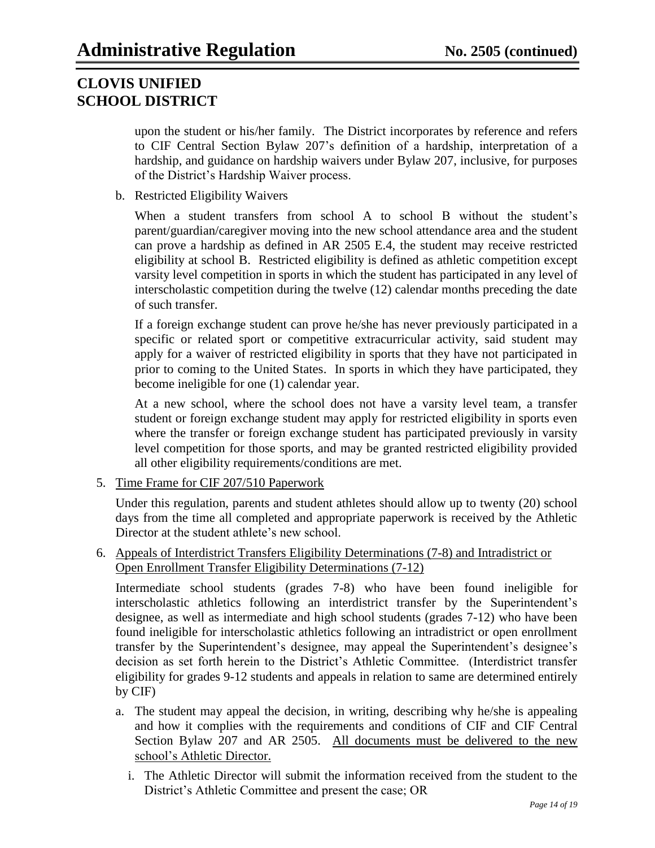upon the student or his/her family. The District incorporates by reference and refers to CIF Central Section Bylaw 207's definition of a hardship, interpretation of a hardship, and guidance on hardship waivers under Bylaw 207, inclusive, for purposes of the District's Hardship Waiver process.

b. Restricted Eligibility Waivers

When a student transfers from school A to school B without the student's parent/guardian/caregiver moving into the new school attendance area and the student can prove a hardship as defined in AR 2505 E.4, the student may receive restricted eligibility at school B. Restricted eligibility is defined as athletic competition except varsity level competition in sports in which the student has participated in any level of interscholastic competition during the twelve (12) calendar months preceding the date of such transfer.

If a foreign exchange student can prove he/she has never previously participated in a specific or related sport or competitive extracurricular activity, said student may apply for a waiver of restricted eligibility in sports that they have not participated in prior to coming to the United States. In sports in which they have participated, they become ineligible for one (1) calendar year.

At a new school, where the school does not have a varsity level team, a transfer student or foreign exchange student may apply for restricted eligibility in sports even where the transfer or foreign exchange student has participated previously in varsity level competition for those sports, and may be granted restricted eligibility provided all other eligibility requirements/conditions are met.

5. Time Frame for CIF 207/510 Paperwork

Under this regulation, parents and student athletes should allow up to twenty (20) school days from the time all completed and appropriate paperwork is received by the Athletic Director at the student athlete's new school.

6. Appeals of Interdistrict Transfers Eligibility Determinations (7-8) and Intradistrict or Open Enrollment Transfer Eligibility Determinations (7-12)

Intermediate school students (grades 7-8) who have been found ineligible for interscholastic athletics following an interdistrict transfer by the Superintendent's designee, as well as intermediate and high school students (grades 7-12) who have been found ineligible for interscholastic athletics following an intradistrict or open enrollment transfer by the Superintendent's designee, may appeal the Superintendent's designee's decision as set forth herein to the District's Athletic Committee. (Interdistrict transfer eligibility for grades 9-12 students and appeals in relation to same are determined entirely by CIF)

- a. The student may appeal the decision, in writing, describing why he/she is appealing and how it complies with the requirements and conditions of CIF and CIF Central Section Bylaw 207 and AR 2505. All documents must be delivered to the new school's Athletic Director.
	- i. The Athletic Director will submit the information received from the student to the District's Athletic Committee and present the case; OR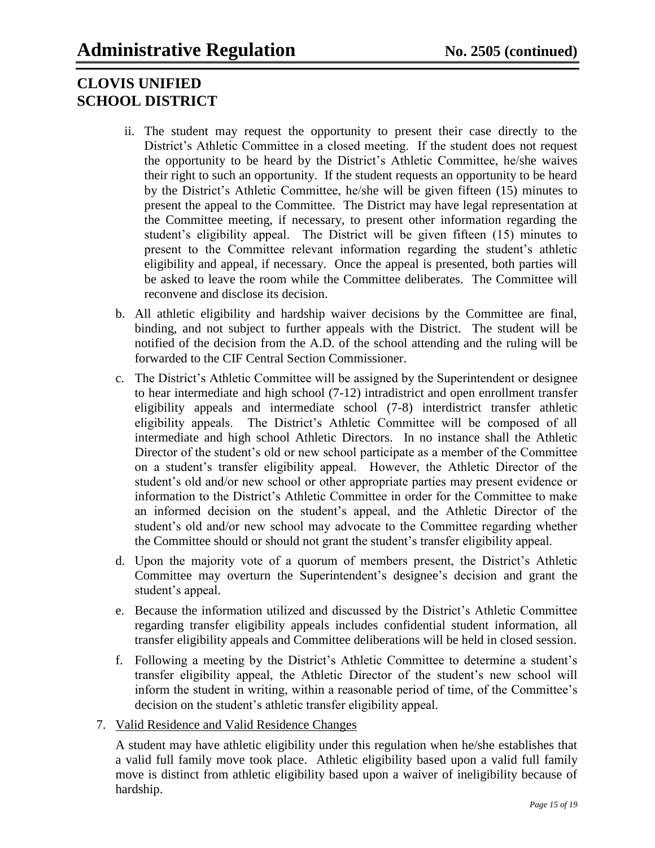- ii. The student may request the opportunity to present their case directly to the District's Athletic Committee in a closed meeting. If the student does not request the opportunity to be heard by the District's Athletic Committee, he/she waives their right to such an opportunity. If the student requests an opportunity to be heard by the District's Athletic Committee, he/she will be given fifteen (15) minutes to present the appeal to the Committee. The District may have legal representation at the Committee meeting, if necessary, to present other information regarding the student's eligibility appeal. The District will be given fifteen (15) minutes to present to the Committee relevant information regarding the student's athletic eligibility and appeal, if necessary. Once the appeal is presented, both parties will be asked to leave the room while the Committee deliberates. The Committee will reconvene and disclose its decision.
- b. All athletic eligibility and hardship waiver decisions by the Committee are final, binding, and not subject to further appeals with the District. The student will be notified of the decision from the A.D. of the school attending and the ruling will be forwarded to the CIF Central Section Commissioner.
- c. The District's Athletic Committee will be assigned by the Superintendent or designee to hear intermediate and high school (7-12) intradistrict and open enrollment transfer eligibility appeals and intermediate school (7-8) interdistrict transfer athletic eligibility appeals. The District's Athletic Committee will be composed of all intermediate and high school Athletic Directors. In no instance shall the Athletic Director of the student's old or new school participate as a member of the Committee on a student's transfer eligibility appeal. However, the Athletic Director of the student's old and/or new school or other appropriate parties may present evidence or information to the District's Athletic Committee in order for the Committee to make an informed decision on the student's appeal, and the Athletic Director of the student's old and/or new school may advocate to the Committee regarding whether the Committee should or should not grant the student's transfer eligibility appeal.
- d. Upon the majority vote of a quorum of members present, the District's Athletic Committee may overturn the Superintendent's designee's decision and grant the student's appeal.
- e. Because the information utilized and discussed by the District's Athletic Committee regarding transfer eligibility appeals includes confidential student information, all transfer eligibility appeals and Committee deliberations will be held in closed session.
- f. Following a meeting by the District's Athletic Committee to determine a student's transfer eligibility appeal, the Athletic Director of the student's new school will inform the student in writing, within a reasonable period of time, of the Committee's decision on the student's athletic transfer eligibility appeal.
- 7. Valid Residence and Valid Residence Changes

A student may have athletic eligibility under this regulation when he/she establishes that a valid full family move took place. Athletic eligibility based upon a valid full family move is distinct from athletic eligibility based upon a waiver of ineligibility because of hardship.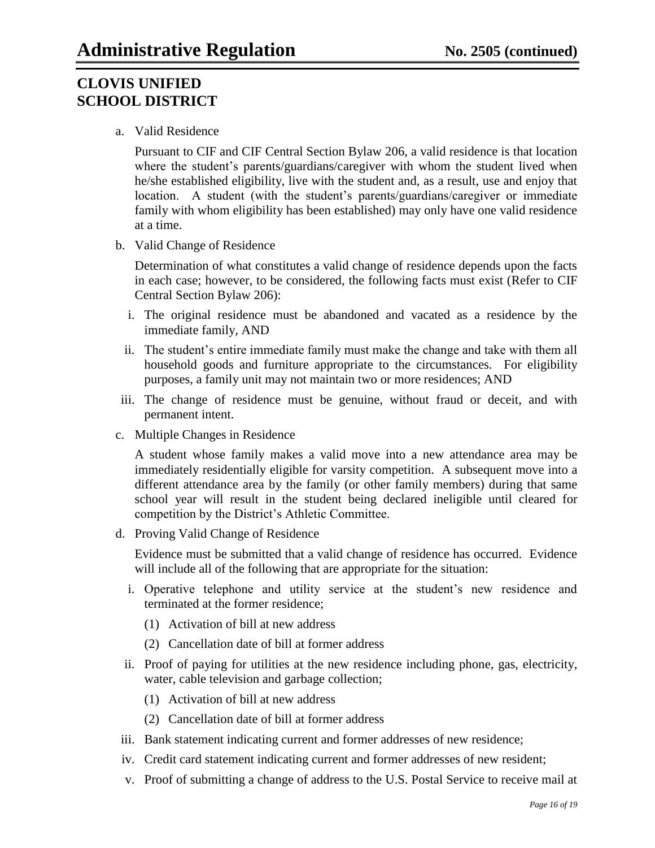a. Valid Residence

Pursuant to CIF and CIF Central Section Bylaw 206, a valid residence is that location where the student's parents/guardians/caregiver with whom the student lived when he/she established eligibility, live with the student and, as a result, use and enjoy that location. A student (with the student's parents/guardians/caregiver or immediate family with whom eligibility has been established) may only have one valid residence at a time.

b. Valid Change of Residence

Determination of what constitutes a valid change of residence depends upon the facts in each case; however, to be considered, the following facts must exist (Refer to CIF Central Section Bylaw 206):

- i. The original residence must be abandoned and vacated as a residence by the immediate family, AND
- ii. The student's entire immediate family must make the change and take with them all household goods and furniture appropriate to the circumstances. For eligibility purposes, a family unit may not maintain two or more residences; AND
- iii. The change of residence must be genuine, without fraud or deceit, and with permanent intent.
- c. Multiple Changes in Residence

A student whose family makes a valid move into a new attendance area may be immediately residentially eligible for varsity competition. A subsequent move into a different attendance area by the family (or other family members) during that same school year will result in the student being declared ineligible until cleared for competition by the District's Athletic Committee.

d. Proving Valid Change of Residence

Evidence must be submitted that a valid change of residence has occurred. Evidence will include all of the following that are appropriate for the situation:

- i. Operative telephone and utility service at the student's new residence and terminated at the former residence;
	- (1) Activation of bill at new address
	- (2) Cancellation date of bill at former address
- ii. Proof of paying for utilities at the new residence including phone, gas, electricity, water, cable television and garbage collection;
	- (1) Activation of bill at new address
	- (2) Cancellation date of bill at former address
- iii. Bank statement indicating current and former addresses of new residence;
- iv. Credit card statement indicating current and former addresses of new resident;
- v. Proof of submitting a change of address to the U.S. Postal Service to receive mail at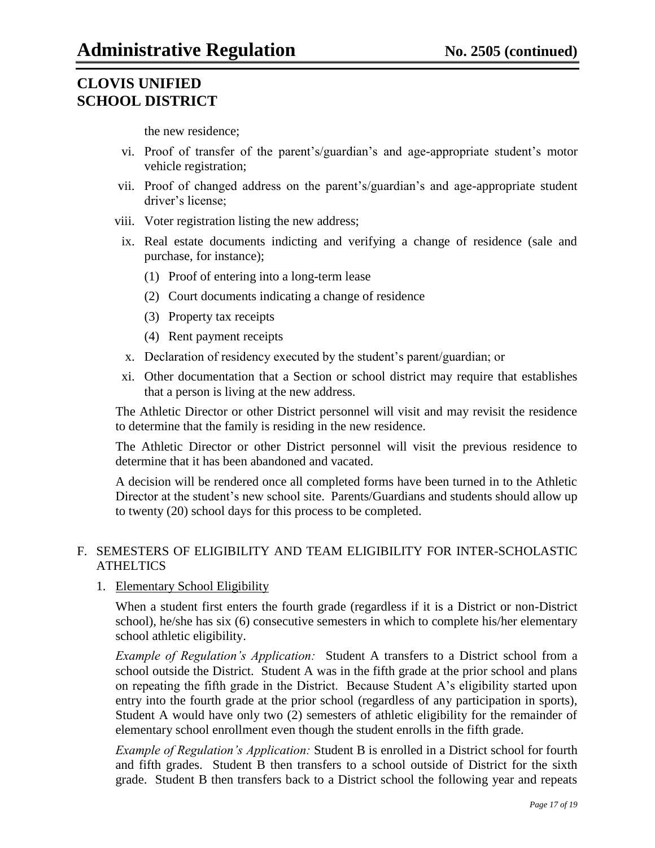the new residence;

- vi. Proof of transfer of the parent's/guardian's and age-appropriate student's motor vehicle registration;
- vii. Proof of changed address on the parent's/guardian's and age-appropriate student driver's license;
- viii. Voter registration listing the new address;
- ix. Real estate documents indicting and verifying a change of residence (sale and purchase, for instance);
	- (1) Proof of entering into a long-term lease
	- (2) Court documents indicating a change of residence
	- (3) Property tax receipts
	- (4) Rent payment receipts
- x. Declaration of residency executed by the student's parent/guardian; or
- xi. Other documentation that a Section or school district may require that establishes that a person is living at the new address.

The Athletic Director or other District personnel will visit and may revisit the residence to determine that the family is residing in the new residence.

The Athletic Director or other District personnel will visit the previous residence to determine that it has been abandoned and vacated.

A decision will be rendered once all completed forms have been turned in to the Athletic Director at the student's new school site. Parents/Guardians and students should allow up to twenty (20) school days for this process to be completed.

### F. SEMESTERS OF ELIGIBILITY AND TEAM ELIGIBILITY FOR INTER-SCHOLASTIC **ATHELTICS**

### 1. Elementary School Eligibility

When a student first enters the fourth grade (regardless if it is a District or non-District school), he/she has six (6) consecutive semesters in which to complete his/her elementary school athletic eligibility.

*Example of Regulation's Application:* Student A transfers to a District school from a school outside the District. Student A was in the fifth grade at the prior school and plans on repeating the fifth grade in the District. Because Student A's eligibility started upon entry into the fourth grade at the prior school (regardless of any participation in sports), Student A would have only two (2) semesters of athletic eligibility for the remainder of elementary school enrollment even though the student enrolls in the fifth grade.

*Example of Regulation's Application:* Student B is enrolled in a District school for fourth and fifth grades. Student B then transfers to a school outside of District for the sixth grade. Student B then transfers back to a District school the following year and repeats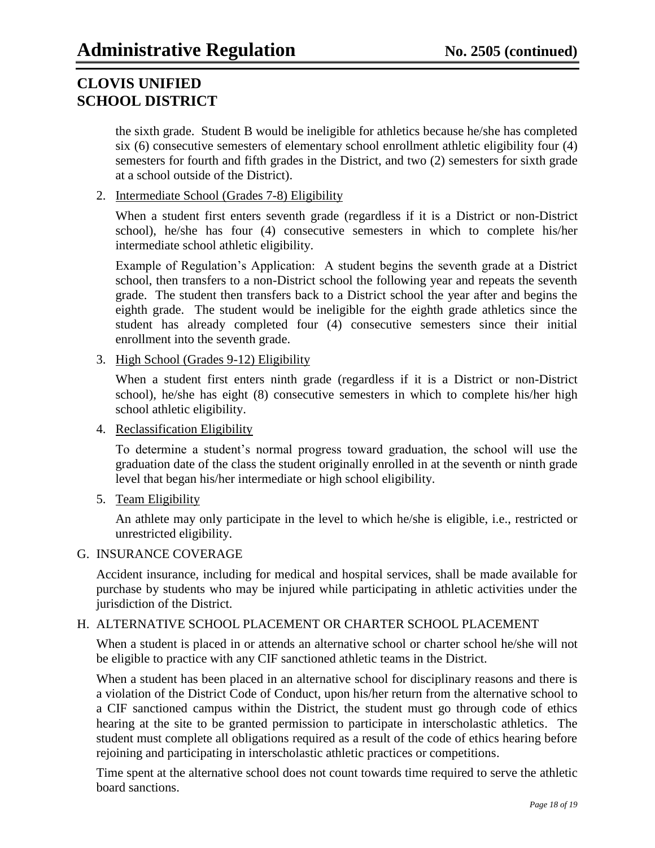the sixth grade. Student B would be ineligible for athletics because he/she has completed six (6) consecutive semesters of elementary school enrollment athletic eligibility four (4) semesters for fourth and fifth grades in the District, and two (2) semesters for sixth grade at a school outside of the District).

2. Intermediate School (Grades 7-8) Eligibility

When a student first enters seventh grade (regardless if it is a District or non-District school), he/she has four (4) consecutive semesters in which to complete his/her intermediate school athletic eligibility.

Example of Regulation's Application: A student begins the seventh grade at a District school, then transfers to a non-District school the following year and repeats the seventh grade. The student then transfers back to a District school the year after and begins the eighth grade. The student would be ineligible for the eighth grade athletics since the student has already completed four (4) consecutive semesters since their initial enrollment into the seventh grade.

3. High School (Grades 9-12) Eligibility

When a student first enters ninth grade (regardless if it is a District or non-District school), he/she has eight (8) consecutive semesters in which to complete his/her high school athletic eligibility.

4. Reclassification Eligibility

To determine a student's normal progress toward graduation, the school will use the graduation date of the class the student originally enrolled in at the seventh or ninth grade level that began his/her intermediate or high school eligibility.

5. Team Eligibility

An athlete may only participate in the level to which he/she is eligible, i.e., restricted or unrestricted eligibility.

### G. INSURANCE COVERAGE

Accident insurance, including for medical and hospital services, shall be made available for purchase by students who may be injured while participating in athletic activities under the jurisdiction of the District.

### H. ALTERNATIVE SCHOOL PLACEMENT OR CHARTER SCHOOL PLACEMENT

When a student is placed in or attends an alternative school or charter school he/she will not be eligible to practice with any CIF sanctioned athletic teams in the District.

When a student has been placed in an alternative school for disciplinary reasons and there is a violation of the District Code of Conduct, upon his/her return from the alternative school to a CIF sanctioned campus within the District, the student must go through code of ethics hearing at the site to be granted permission to participate in interscholastic athletics. The student must complete all obligations required as a result of the code of ethics hearing before rejoining and participating in interscholastic athletic practices or competitions.

Time spent at the alternative school does not count towards time required to serve the athletic board sanctions.